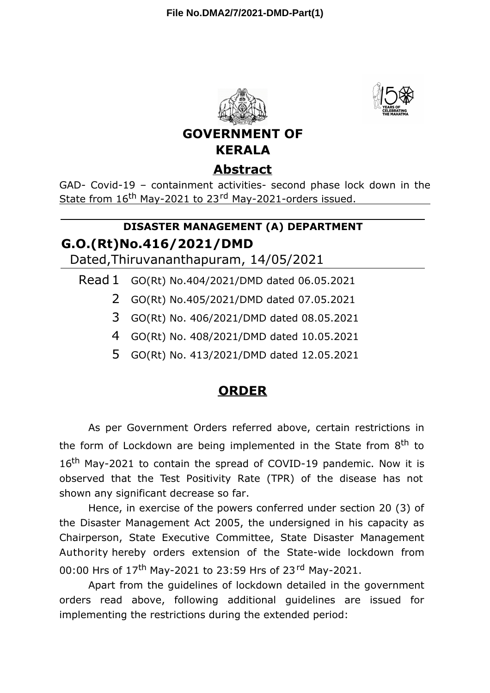



**GOVERNMENT OF KERALA**

## **Abstract**

GAD- Covid-19 – containment activities- second phase lock down in the State from 16<sup>th</sup> May-2021 to 23<sup>rd</sup> May-2021-orders issued.

## **G.O.(Rt)No.416/2021/DMD DISASTER MANAGEMENT (A) DEPARTMENT**

Dated,Thiruvananthapuram, 14/05/2021

Read 1 GO(Rt) No.404/2021/DMD dated 06.05.2021

- 2 GO(Rt) No.405/2021/DMD dated 07.05.2021
- 3 GO(Rt) No. 406/2021/DMD dated 08.05.2021
- 4 GO(Rt) No. 408/2021/DMD dated 10.05.2021
- 5 GO(Rt) No. 413/2021/DMD dated 12.05.2021

## **ORDER**

As per Government Orders referred above, certain restrictions in the form of Lockdown are being implemented in the State from 8<sup>th</sup> to 16<sup>th</sup> May-2021 to contain the spread of COVID-19 pandemic. Now it is observed that the Test Positivity Rate (TPR) of the disease has not shown any significant decrease so far.

Hence, in exercise of the powers conferred under section 20 (3) of the Disaster Management Act 2005, the undersigned in his capacity as Chairperson, State Executive Committee, State Disaster Management Authority hereby orders extension of the State-wide lockdown from 00:00 Hrs of 17<sup>th</sup> May-2021 to 23:59 Hrs of 23<sup>rd</sup> May-2021.

Apart from the guidelines of lockdown detailed in the government orders read above, following additional guidelines are issued for implementing the restrictions during the extended period: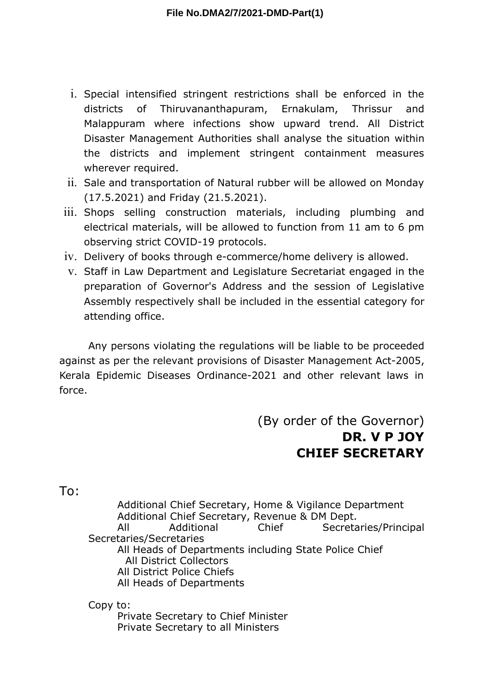- i. Special intensified stringent restrictions shall be enforced in the districts of Thiruvananthapuram, Ernakulam, Thrissur and Malappuram where infections show upward trend. All District Disaster Management Authorities shall analyse the situation within the districts and implement stringent containment measures wherever required.
- ii. Sale and transportation of Natural rubber will be allowed on Monday (17.5.2021) and Friday (21.5.2021).
- iii. Shops selling construction materials, including plumbing and electrical materials, will be allowed to function from 11 am to 6 pm observing strict COVID-19 protocols.
- iv. Delivery of books through e-commerce/home delivery is allowed.
- v. Staff in Law Department and Legislature Secretariat engaged in the preparation of Governor's Address and the session of Legislative Assembly respectively shall be included in the essential category for attending office.

Any persons violating the regulations will be liable to be proceeded against as per the relevant provisions of Disaster Management Act-2005, Kerala Epidemic Diseases Ordinance-2021 and other relevant laws in force.

> (By order of the Governor) **DR. V P JOY CHIEF SECRETARY**

To:

Additional Chief Secretary, Home & Vigilance Department Additional Chief Secretary, Revenue & DM Dept. All Additional Chief Secretaries/Principal Secretaries/Secretaries All Heads of Departments including State Police Chief All District Collectors All District Police Chiefs All Heads of Departments

Copy to: Private Secretary to Chief Minister Private Secretary to all Ministers